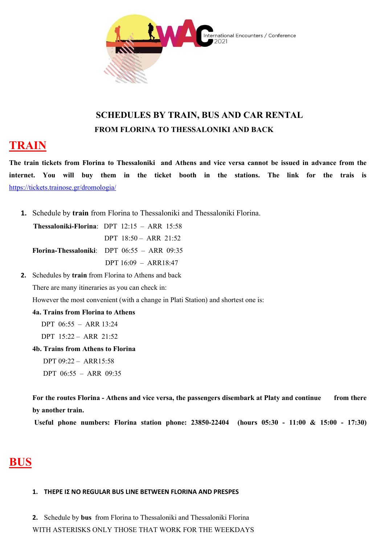

### SCHEDULES BY TRAIN, BUS AND CAR RENTAL FROM FLORINA TO THESSALONIKI AND BACK

# **TRAIN**

The train tickets from Florina to Thessaloniki and Athens and vice versa cannot be issued in advance from the internet. You will buy them in the ticket booth in the stations. The link for the trais is https://tickets.trainose.gr/dromologia/

1. Schedule by train from Florina to Thessaloniki and Thessaloniki Florina.

 Thessaloniki-Florina: DPT 12:15 – ARR 15:58 DPT 18:50 – ARR 21:52 Florina-Thessaloniki: DPT 06:55 – ARR 09:35 DPT 16:09 – ARR18:47

2. Schedules by train from Florina to Athens and back

There are many itineraries as you can check in:

However the most convenient (with a change in Plati Station) and shortest one is:

#### 4a. Trains from Florina to Athens

DPT 06:55 – ARR 13:24

DPT 15:22 – ARR 21:52

4b. Trains from Athens to Florina

DPT 09:22 – ARR15:58

DPT 06:55 – ARR 09:35

For the routes Florina - Athens and vice versa, the passengers disembark at Platy and continue from there by another train.

Useful phone numbers: Florina station phone: 23850-22404 (hours 05:30 - 11:00 & 15:00 - 17:30)

## BUS

#### 1. ΤΗΕΡΕ ΙΣ ΝΟ REGULAR BUS LINE BETWEEN FLORINA AND PRESPES

2. Schedule by bus from Florina to Thessaloniki and Thessaloniki Florina WITH ASTERISKS ONLY THOSE THAT WORK FOR THE WEEKDAYS